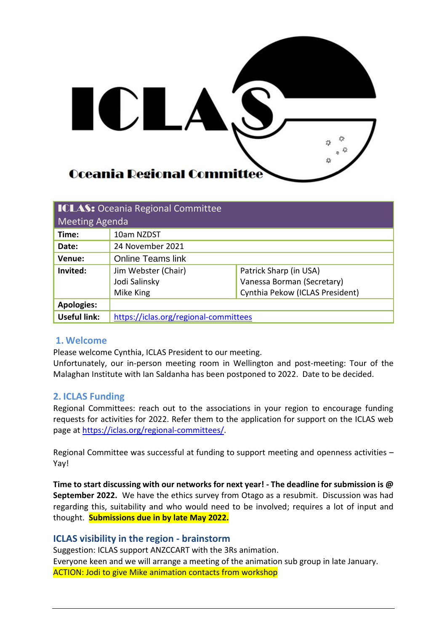

| <b>ICLAS: Oceania Regional Committee</b> |                                       |                                 |  |  |  |
|------------------------------------------|---------------------------------------|---------------------------------|--|--|--|
| Meeting Agenda                           |                                       |                                 |  |  |  |
| Time:                                    | 10am NZDST                            |                                 |  |  |  |
| Date:                                    | 24 November 2021                      |                                 |  |  |  |
| Venue:                                   | <b>Online Teams link</b>              |                                 |  |  |  |
| Invited:                                 | Jim Webster (Chair)                   | Patrick Sharp (in USA)          |  |  |  |
|                                          | Jodi Salinsky                         | Vanessa Borman (Secretary)      |  |  |  |
|                                          | Mike King                             | Cynthia Pekow (ICLAS President) |  |  |  |
| <b>Apologies:</b>                        |                                       |                                 |  |  |  |
| <b>Useful link:</b>                      | https://iclas.org/regional-committees |                                 |  |  |  |

# **1. Welcome**

Please welcome Cynthia, ICLAS President to our meeting.

Unfortunately, our in-person meeting room in Wellington and post-meeting: Tour of the Malaghan Institute with Ian Saldanha has been postponed to 2022. Date to be decided.

### **2. ICLAS Funding**

Regional Committees: reach out to the associations in your region to encourage funding requests for activities for 2022. Refer them to the application for support on the ICLAS web page at [https://iclas.org/regional-committees/.](https://iclas.org/regional-committees/)

Regional Committee was successful at funding to support meeting and openness activities – Yay!

**Time to start discussing with our networks for next year! - The deadline for submission is @ September 2022.** We have the ethics survey from Otago as a resubmit. Discussion was had regarding this, suitability and who would need to be involved; requires a lot of input and thought. **Submissions due in by late May 2022.**

### **ICLAS visibility in the region - brainstorm**

Suggestion: ICLAS support ANZCCART with the 3Rs animation. Everyone keen and we will arrange a meeting of the animation sub group in late January. ACTION: Jodi to give Mike animation contacts from workshop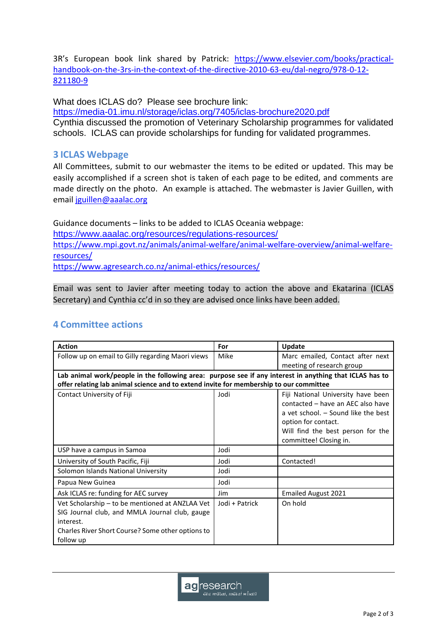3R's European book link shared by Patrick: [https://www.elsevier.com/books/practical](https://www.elsevier.com/books/practical-handbook-on-the-3rs-in-the-context-of-the-directive-2010-63-eu/dal-negro/978-0-12-821180-9)[handbook-on-the-3rs-in-the-context-of-the-directive-2010-63-eu/dal-negro/978-0-12-](https://www.elsevier.com/books/practical-handbook-on-the-3rs-in-the-context-of-the-directive-2010-63-eu/dal-negro/978-0-12-821180-9) [821180-9](https://www.elsevier.com/books/practical-handbook-on-the-3rs-in-the-context-of-the-directive-2010-63-eu/dal-negro/978-0-12-821180-9)

What does ICLAS do? Please see brochure link:

<https://media-01.imu.nl/storage/iclas.org/7405/iclas-brochure2020.pdf>

Cynthia discussed the promotion of Veterinary Scholarship programmes for validated schools. ICLAS can provide scholarships for funding for validated programmes.

## **3 ICLAS Webpage**

All Committees, submit to our webmaster the items to be edited or updated. This may be easily accomplished if a screen shot is taken of each page to be edited, and comments are made directly on the photo. An example is attached. The webmaster is Javier Guillen, with email [jguillen@aaalac.org](mailto:jguillen@aaalac.org) 

Guidance documents – links to be added to ICLAS Oceania webpage: <https://www.aaalac.org/resources/regulations-resources/> [https://www.mpi.govt.nz/animals/animal-welfare/animal-welfare-overview/animal-welfare](https://www.mpi.govt.nz/animals/animal-welfare/animal-welfare-overview/animal-welfare-resources/)[resources/](https://www.mpi.govt.nz/animals/animal-welfare/animal-welfare-overview/animal-welfare-resources/) <https://www.agresearch.co.nz/animal-ethics/resources/>

Email was sent to Javier after meeting today to action the above and Ekatarina (ICLAS Secretary) and Cynthia cc'd in so they are advised once links have been added.

# **4 Committee actions**

| <b>Action</b>                                                                                           | For            | <b>Update</b>                                                                                                                                                                                        |  |  |  |
|---------------------------------------------------------------------------------------------------------|----------------|------------------------------------------------------------------------------------------------------------------------------------------------------------------------------------------------------|--|--|--|
| Follow up on email to Gilly regarding Maori views                                                       | Mike           | Marc emailed, Contact after next                                                                                                                                                                     |  |  |  |
|                                                                                                         |                | meeting of research group                                                                                                                                                                            |  |  |  |
| Lab animal work/people in the following area: purpose see if any interest in anything that ICLAS has to |                |                                                                                                                                                                                                      |  |  |  |
| offer relating lab animal science and to extend invite for membership to our committee                  |                |                                                                                                                                                                                                      |  |  |  |
| Contact University of Fiji                                                                              | Jodi           | Fiji National University have been<br>contacted - have an AEC also have<br>a vet school. - Sound like the best<br>option for contact.<br>Will find the best person for the<br>committee! Closing in. |  |  |  |
| USP have a campus in Samoa                                                                              | Jodi           |                                                                                                                                                                                                      |  |  |  |
| University of South Pacific, Fiji                                                                       | Jodi           | Contacted!                                                                                                                                                                                           |  |  |  |
| Solomon Islands National University                                                                     | Jodi           |                                                                                                                                                                                                      |  |  |  |
| Papua New Guinea                                                                                        | Jodi           |                                                                                                                                                                                                      |  |  |  |
| Ask ICLAS re: funding for AEC survey                                                                    | Jim.           | <b>Emailed August 2021</b>                                                                                                                                                                           |  |  |  |
| Vet Scholarship – to be mentioned at ANZLAA Vet                                                         | Jodi + Patrick | On hold                                                                                                                                                                                              |  |  |  |
| SIG Journal club, and MMLA Journal club, gauge<br>interest.                                             |                |                                                                                                                                                                                                      |  |  |  |
| Charles River Short Course? Some other options to<br>follow up                                          |                |                                                                                                                                                                                                      |  |  |  |